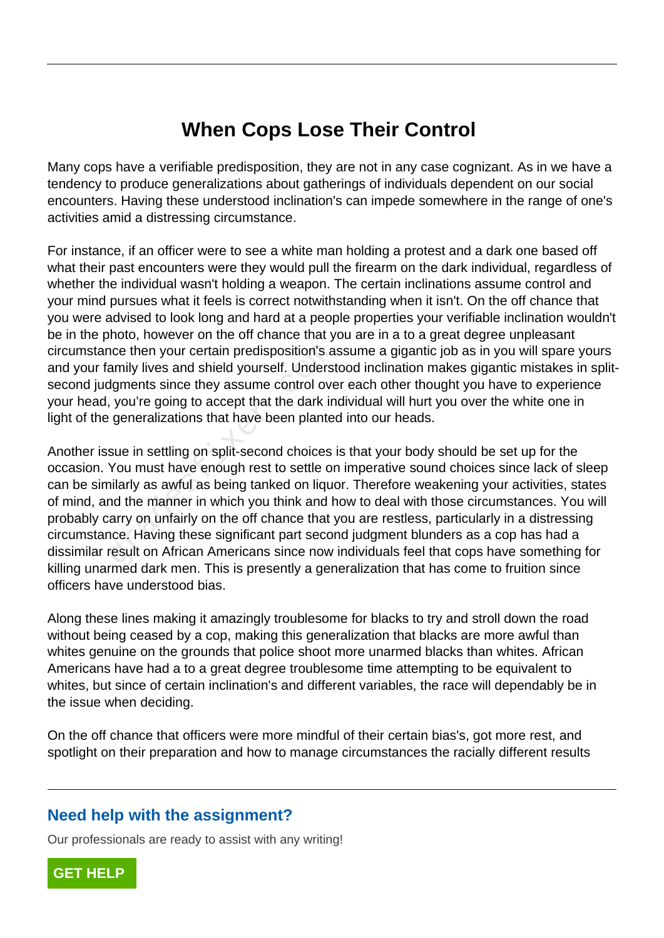## **When Cops Lose Their Control**

Many cops have a verifiable predisposition, they are not in any case cognizant. As in we have a tendency to produce generalizations about gatherings of individuals dependent on our social encounters. Having these understood inclination's can impede somewhere in the range of one's activities amid a distressing circumstance.

For instance, if an officer were to see a white man holding a protest and a dark one based off what their past encounters were they would pull the firearm on the dark individual, regardless of whether the individual wasn't holding a weapon. The certain inclinations assume control and your mind pursues what it feels is correct notwithstanding when it isn't. On the off chance that you were advised to look long and hard at a people properties your verifiable inclination wouldn't be in the photo, however on the off chance that you are in a to a great degree unpleasant circumstance then your certain predisposition's assume a gigantic job as in you will spare yours and your family lives and shield yourself. Understood inclination makes gigantic mistakes in splitsecond judgments since they assume control over each other thought you have to experience your head, you're going to accept that the dark individual will hurt you over the white one in light of the generalizations that have been planted into our heads.

Another issue in settling on split-second choices is that your body should be set up for the occasion. You must have enough rest to settle on imperative sound choices since lack of sleep can be similarly as awful as being tanked on liquor. Therefore weakening your activities, states of mind, and the manner in which you think and how to deal with those circumstances. You will probably carry on unfairly on the off chance that you are restless, particularly in a distressing circumstance. Having these significant part second judgment blunders as a cop has had a dissimilar result on African Americans since now individuals feel that cops have something for killing unarmed dark men. This is presently a generalization that has come to fruition since officers have understood bias. nce then your certain predisposition's a<br>amily lives and shield yourself. Underst<br>dgments since they assume control ove<br>, you're going to accept that the dark in<br>generalizations that have been plante<br>sue in settling on spl

Along these lines making it amazingly troublesome for blacks to try and stroll down the road without being ceased by a cop, making this generalization that blacks are more awful than whites genuine on the grounds that police shoot more unarmed blacks than whites. African Americans have had a to a great degree troublesome time attempting to be equivalent to whites, but since of certain inclination's and different variables, the race will dependably be in the issue when deciding.

On the off chance that officers were more mindful of their certain bias's, got more rest, and spotlight on their preparation and how to manage circumstances the racially different results

## **Need help with the assignment?**

Our professionals are ready to assist with any writing!